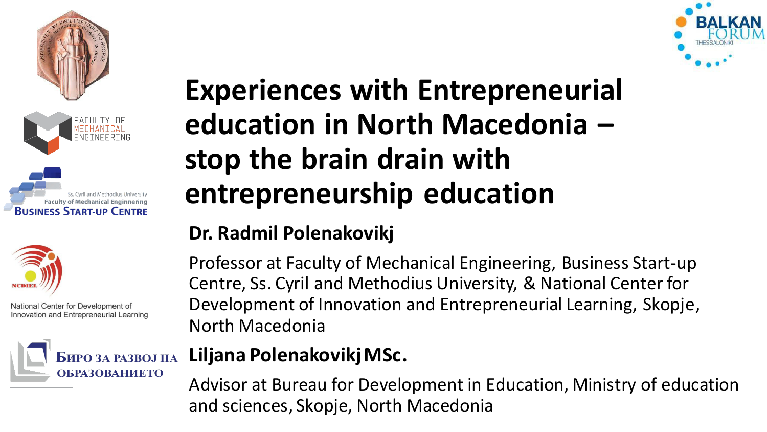







National Center for Development of Innovation and Entrepreneurial Learning



## **Experiences with Entrepreneurial education in North Macedonia – stop the brain drain with entrepreneurship education**

#### **Dr. Radmil Polenakovikj**

Professor at Faculty of Mechanical Engineering, Business Start-up Centre, Ss. Cyril and Methodius University, & National Center for Development of Innovation and Entrepreneurial Learning, Skopje, North Macedonia

#### **Liljana Polenakovikj MSc.**

Advisor at Bureau for Development in Education, Ministry of education and sciences, Skopje, North Macedonia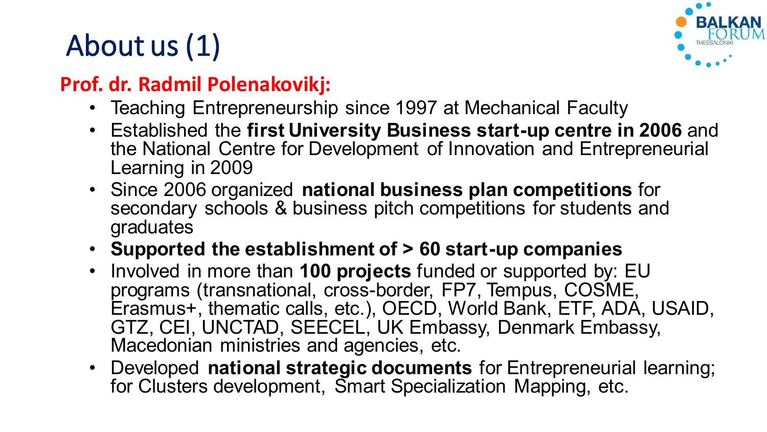## About us (1)



#### **Prof. dr. Radmil Polenakovikj:**

- Teaching Entrepreneurship since 1997 at Mechanical Faculty
- Established the **first University Business start-up centre in 2006** and the National Centre for Development of Innovation and Entrepreneurial Learning in 2009
- Since 2006 organized **national business plan competitions** for secondary schools & business pitch competitions for students and graduates
- **Supported the establishment of > 60 start-up companies**
- Involved in more than **100 projects** funded or supported by: EU programs (transnational, cross-border, FP7, Tempus, COSME. Erasmus+, thematic calls, etc.), OECD, World Bank, ETF, ADA, USAID, GTZ, CEI, UNCTAD, SEECEL, UK Embassy, Denmark Embassy, Macedonian ministries and agencies, etc.
- Developed **national strategic documents** for Entrepreneurial learning; for Clusters development, Smart Specialization Mapping, etc.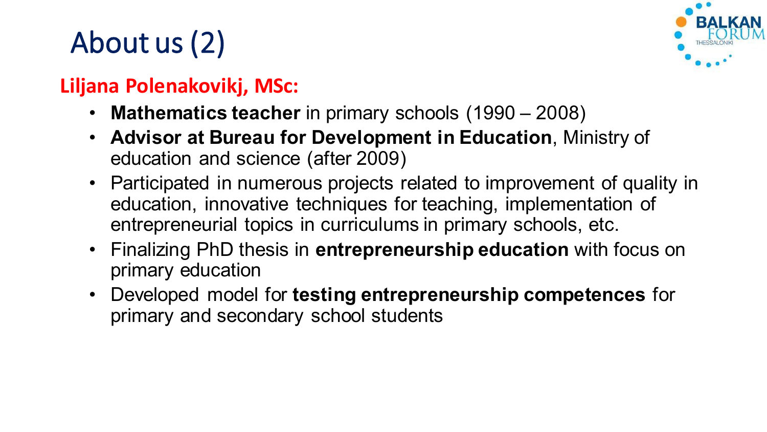## About us (2)



#### **Liljana Polenakovikj, MSc:**

- **Mathematics teacher** in primary schools (1990 2008)
- **Advisor at Bureau for Development in Education**, Ministry of education and science (after 2009)
- Participated in numerous projects related to improvement of quality in education, innovative techniques for teaching, implementation of entrepreneurial topics in curriculums in primary schools, etc.
- Finalizing PhD thesis in **entrepreneurship education** with focus on primary education
- Developed model for **testing entrepreneurship competences** for primary and secondary school students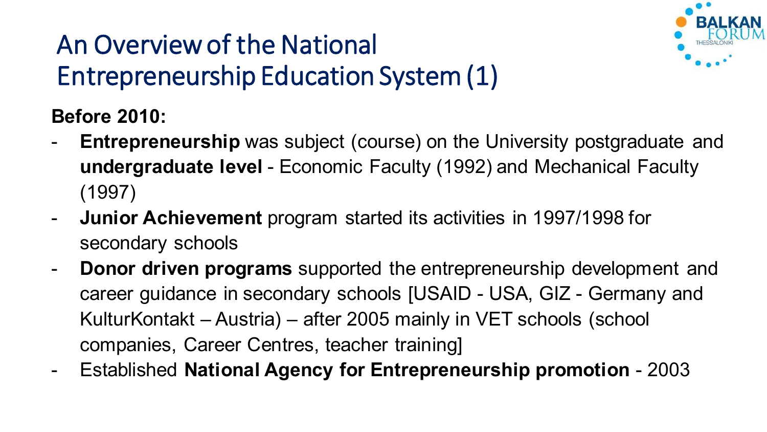### An Overview of the National Entrepreneurship Education System (1)



**Before 2010:** 

- **Entrepreneurship** was subject (course) on the University postgraduate and **undergraduate level** - Economic Faculty (1992) and Mechanical Faculty (1997)
- **Junior Achievement** program started its activities in 1997/1998 for secondary schools
- **Donor driven programs** supported the entrepreneurship development and career guidance in secondary schools [USAID - USA, GIZ - Germany and KulturKontakt – Austria) – after 2005 mainly in VET schools (school companies, Career Centres, teacher training]
- Established **National Agency for Entrepreneurship promotion**  2003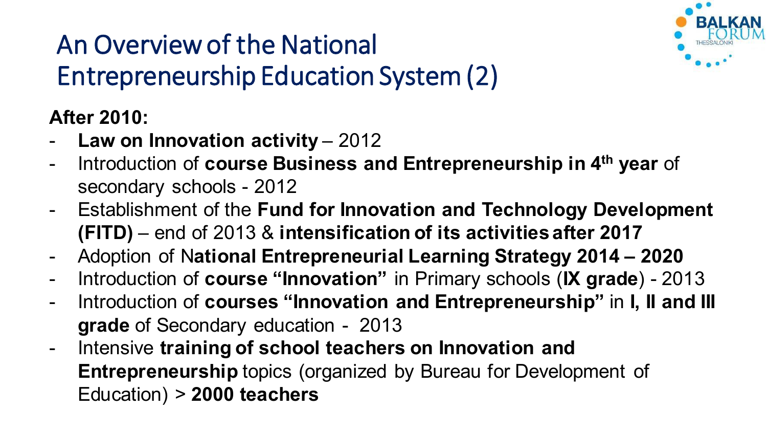

## An Overview of the National Entrepreneurship Education System (2)

#### **After 2010:**

- **Law on Innovation activity 2012**
- Introduction of **course Business and Entrepreneurship in 4th year** of secondary schools - 2012
- Establishment of the **Fund for Innovation and Technology Development (FITD)** – end of 2013 & **intensification of its activities after 2017**
- Adoption of N**ational Entrepreneurial Learning Strategy 2014 – 2020**
- Introduction of **course "Innovation"** in Primary schools (**IX grade**) 2013
- Introduction of **courses "Innovation and Entrepreneurship"** in **I, II and III grade** of Secondary education - 2013
- Intensive **training of school teachers on Innovation and Entrepreneurship** topics (organized by Bureau for Development of Education) > **2000 teachers**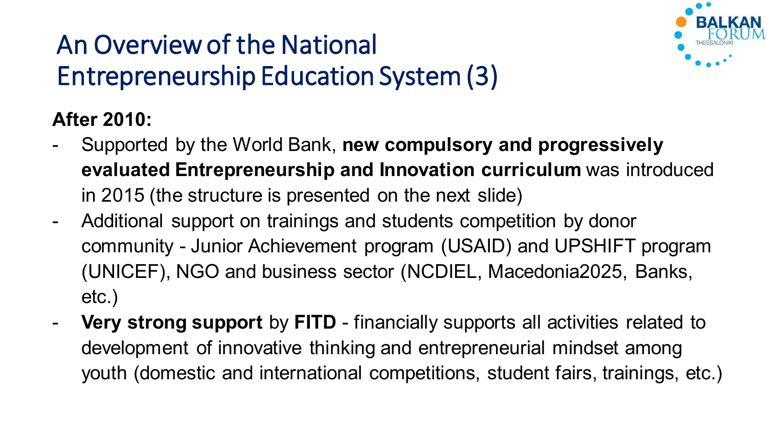

## An Overview of the National Entrepreneurship Education System (3)

#### **After 2010:**

- Supported by the World Bank, **new compulsory and progressively evaluated Entrepreneurship and Innovation curriculum** was introduced in 2015 (the structure is presented on the next slide)
- Additional support on trainings and students competition by donor community - Junior Achievement program (USAID) and UPSHIFT program (UNICEF), NGO and business sector (NCDIEL, Macedonia2025, Banks, etc.)
- **Very strong support** by **FITD** financially supports all activities related to development of innovative thinking and entrepreneurial mindset among youth (domestic and international competitions, student fairs, trainings, etc.)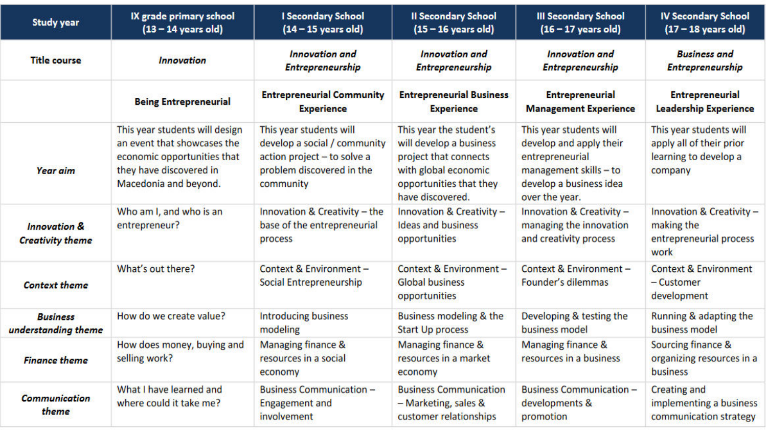| <b>Study year</b>                                  | IX grade primary school<br>$(13 - 14$ years old)                                                                                                 | <b>I Secondary School</b><br>$(14 - 15$ years old)                                                                               | <b>Il Secondary School</b><br>$(15 - 16$ years old)                                                                                                | <b>III Secondary School</b><br>$(16 - 17$ years old)                                                                                              | <b>IV Secondary School</b><br>$(17 - 18$ years old)                                     |
|----------------------------------------------------|--------------------------------------------------------------------------------------------------------------------------------------------------|----------------------------------------------------------------------------------------------------------------------------------|----------------------------------------------------------------------------------------------------------------------------------------------------|---------------------------------------------------------------------------------------------------------------------------------------------------|-----------------------------------------------------------------------------------------|
| <b>Title course</b>                                | <b>Innovation</b>                                                                                                                                | <b>Innovation</b> and<br><b>Entrepreneurship</b>                                                                                 | <b>Innovation</b> and<br><b>Entrepreneurship</b>                                                                                                   | <b>Innovation</b> and<br><b>Entrepreneurship</b>                                                                                                  | <b>Business and</b><br>Entrepreneurship                                                 |
|                                                    | <b>Being Entrepreneurial</b>                                                                                                                     | <b>Entrepreneurial Community</b><br><b>Experience</b>                                                                            | <b>Entrepreneurial Business</b><br><b>Experience</b>                                                                                               | <b>Entrepreneurial</b><br><b>Management Experience</b>                                                                                            | <b>Entrepreneurial</b><br><b>Leadership Experience</b>                                  |
| <b>Year aim</b>                                    | This year students will design<br>an event that showcases the<br>economic opportunities that<br>they have discovered in<br>Macedonia and beyond. | This year students will<br>develop a social / community<br>action project - to solve a<br>problem discovered in the<br>community | This year the student's<br>will develop a business<br>project that connects<br>with global economic<br>opportunities that they<br>have discovered. | This year students will<br>develop and apply their<br>entrepreneurial<br>$m$ anagement skills $-$ to<br>develop a business idea<br>over the year. | This year students will<br>apply all of their prior<br>learning to develop a<br>company |
| <b>Innovation &amp;</b><br><b>Creativity theme</b> | Who am I, and who is an<br>entrepreneur?                                                                                                         | Innovation & Creativity - the<br>base of the entrepreneurial<br>process                                                          | Innovation & Creativity -<br><b>Ideas and business</b><br>opportunities                                                                            | Innovation & Creativity -<br>managing the innovation<br>and creativity process                                                                    | Innovation & Creativity -<br>making the<br>entrepreneurial process<br>work              |
| <b>Context theme</b>                               | What's out there?                                                                                                                                | Context & Environment -<br>Social Entrepreneurship                                                                               | Context & Environment -<br><b>Global business</b><br>opportunities                                                                                 | Context & Environment -<br>Founder's dilemmas                                                                                                     | <b>Context &amp; Environment</b><br>- Customer<br>development                           |
| <b>Business</b><br>understanding theme             | How do we create value?                                                                                                                          | <b>Introducing business</b><br>modeling                                                                                          | Business modeling & the<br><b>Start Up process</b>                                                                                                 | Developing & testing the<br>business model                                                                                                        | Running & adapting the<br>business model                                                |
| <b>Finance theme</b>                               | How does money, buying and<br>selling work?                                                                                                      | Managing finance &<br>resources in a social<br>economy                                                                           | Managing finance &<br>resources in a market<br>economy                                                                                             | Managing finance &<br>resources in a business                                                                                                     | Sourcing finance &<br>organizing resources in a<br>business                             |
| <b>Communication</b><br>theme                      | What I have learned and<br>where could it take me?                                                                                               | <b>Business Communication -</b><br><b>Engagement and</b><br>involvement                                                          | <b>Business Communication</b><br>- Marketing, sales &<br>customer relationships                                                                    | <b>Business Communication -</b><br>developments &<br>promotion                                                                                    | <b>Creating and</b><br>implementing a business<br>communication strategy                |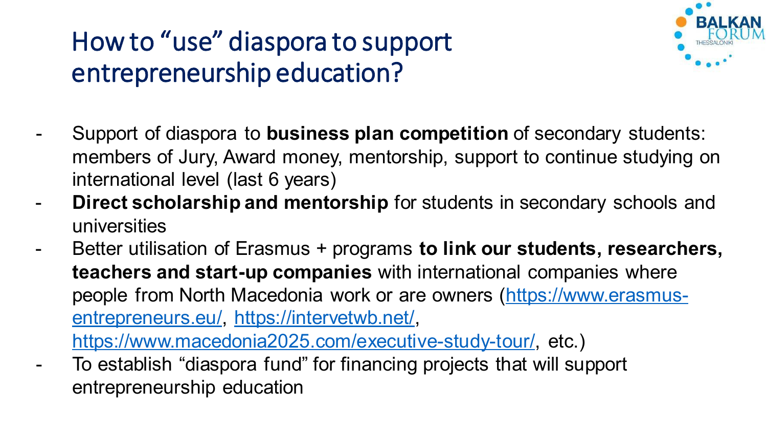### How to "use" diaspora to support entrepreneurship education?



- Support of diaspora to **business plan competition** of secondary students: members of Jury, Award money, mentorship, support to continue studying on international level (last 6 years)
- **Direct scholarship and mentorship** for students in secondary schools and universities
- Better utilisation of Erasmus + programs **to link our students, researchers, teachers and start-up companies** with international companies where people from North Macedonia work or are owners ([https://www.erasmus](https://www.erasmus-entrepreneurs.eu/)[entrepreneurs.eu/](https://www.erasmus-entrepreneurs.eu/), <https://intervetwb.net/>,

<https://www.macedonia2025.com/executive-study-tour/>, etc.)

- To establish "diaspora fund" for financing projects that will support entrepreneurship education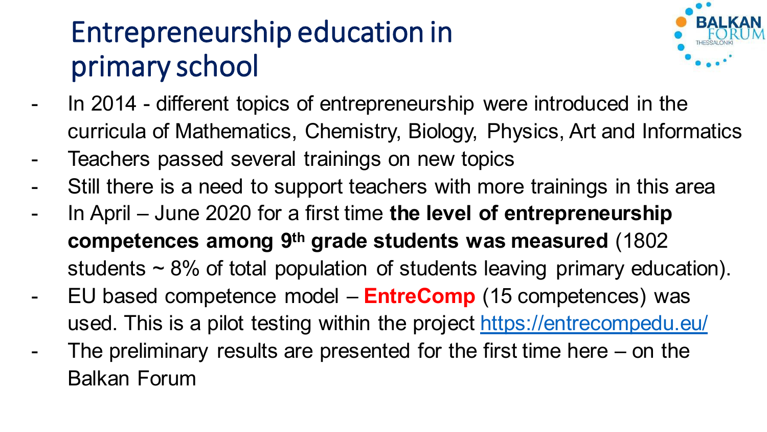## Entrepreneurship education in primary school



- In 2014 different topics of entrepreneurship were introduced in the curricula of Mathematics, Chemistry, Biology, Physics, Art and Informatics
- Teachers passed several trainings on new topics
- Still there is a need to support teachers with more trainings in this area
- In April June 2020 for a first time **the level of entrepreneurship competences among 9th grade students was measured** (1802 students  $\sim$  8% of total population of students leaving primary education).
- EU based competence model **EntreComp** (15 competences) was used. This is a pilot testing within the project<https://entrecompedu.eu/>
- The preliminary results are presented for the first time here  $-$  on the Balkan Forum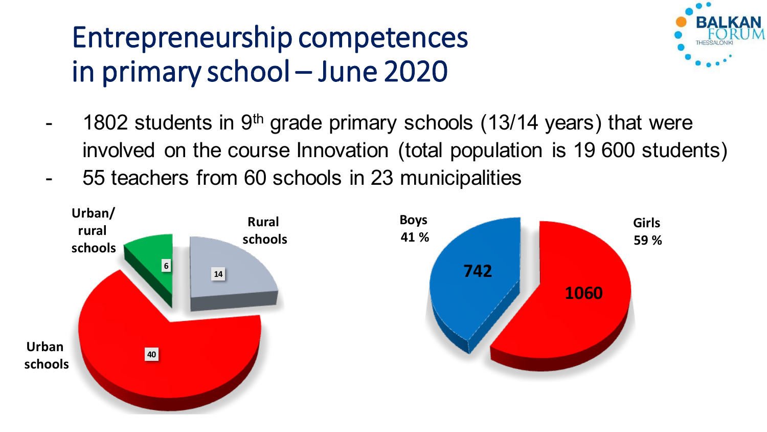

- 1802 students in  $9<sup>th</sup>$  grade primary schools (13/14 years) that were involved on the course Innovation (total population is 19 600 students)
- 55 teachers from 60 schools in 23 municipalities

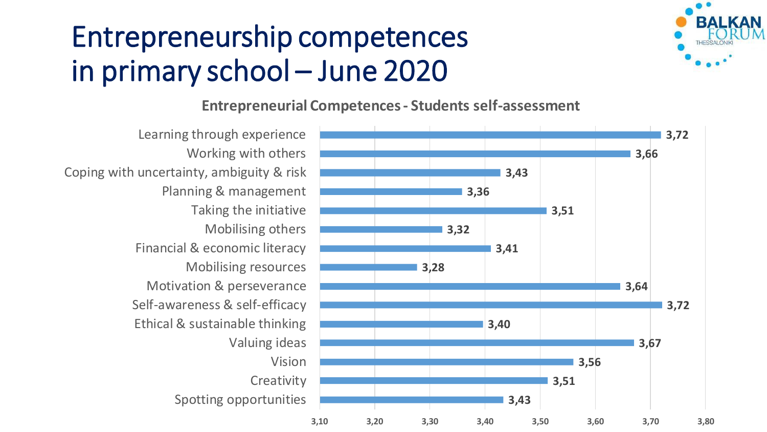

#### **Entrepreneurial Competences - Students self-assessment**

Spotting opportunities Creativity Vision Valuing ideas Ethical & sustainable thinking Self-awareness & self-efficacy Motivation & perseverance Mobilising resources Financial & economic literacy Mobilising others Taking the initiative Planning & management Coping with uncertainty, ambiguity & risk Working with others Learning through experience

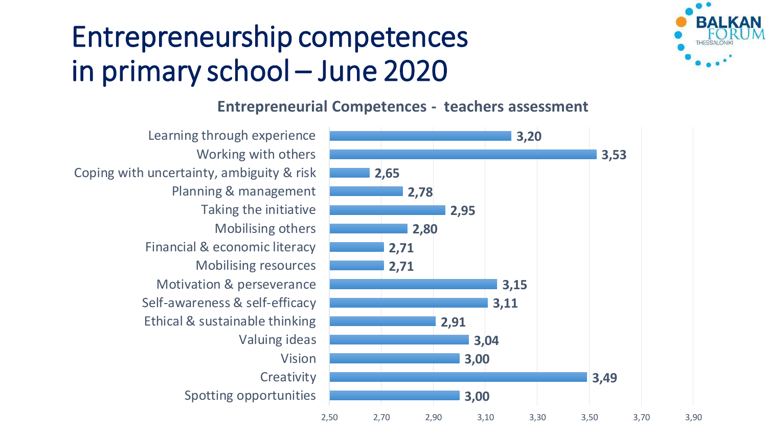

#### **Entrepreneurial Competences - teachers assessment**

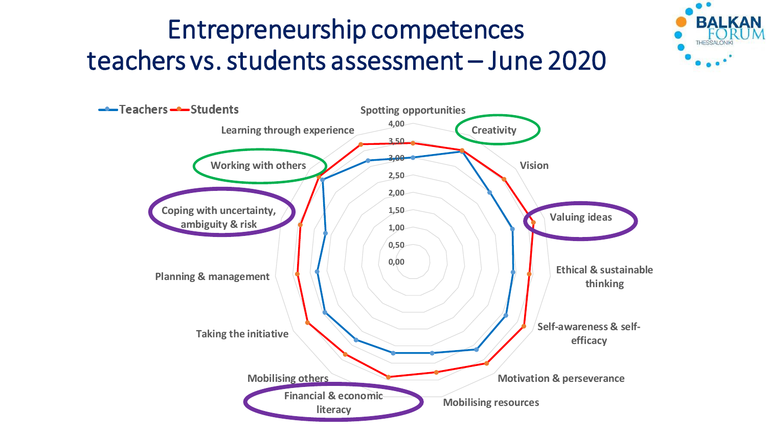#### Entrepreneurship competences teachers vs. students assessment – June 2020

 $\bullet$ 

**BALKAN** 

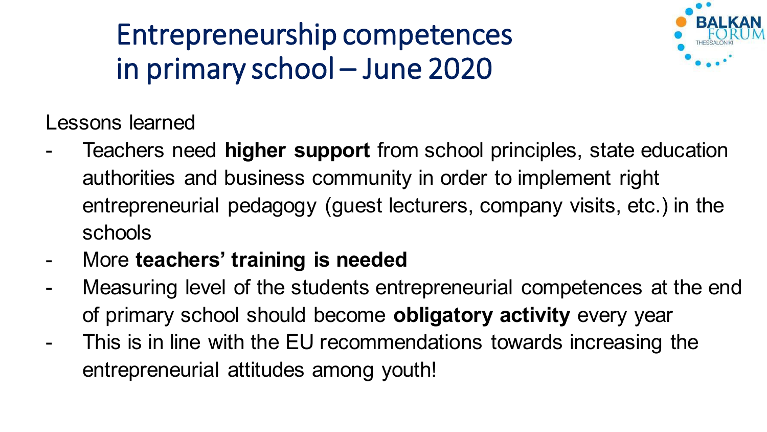

Lessons learned

- Teachers need **higher support** from school principles, state education authorities and business community in order to implement right entrepreneurial pedagogy (guest lecturers, company visits, etc.) in the schools
- More **teachers' training is needed**
- Measuring level of the students entrepreneurial competences at the end of primary school should become **obligatory activity** every year
- This is in line with the EU recommendations towards increasing the entrepreneurial attitudes among youth!